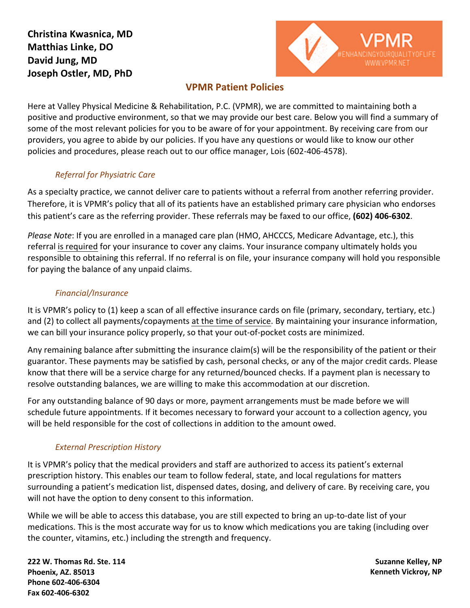# **Christina Kwasnica, MD Matthias Linke, DO David Jung, MD Joseph Ostler, MD, PhD**



## **VPMR Patient Policies**

Here at Valley Physical Medicine & Rehabilitation, P.C. (VPMR), we are committed to maintaining both a positive and productive environment, so that we may provide our best care. Below you will find a summary of some of the most relevant policies for you to be aware of for your appointment. By receiving care from our providers, you agree to abide by our policies. If you have any questions or would like to know our other policies and procedures, please reach out to our office manager, Lois (602-406-4578).

## *Referral for Physiatric Care*

As a specialty practice, we cannot deliver care to patients without a referral from another referring provider. Therefore, it is VPMR's policy that all of its patients have an established primary care physician who endorses this patient's care as the referring provider. These referrals may be faxed to our office, **(602) 406-6302**.

*Please Note*: If you are enrolled in a managed care plan (HMO, AHCCCS, Medicare Advantage, etc.), this referral is required for your insurance to cover any claims. Your insurance company ultimately holds you responsible to obtaining this referral. If no referral is on file, your insurance company will hold you responsible for paying the balance of any unpaid claims.

## *Financial/Insurance*

It is VPMR's policy to (1) keep a scan of all effective insurance cards on file (primary, secondary, tertiary, etc.) and (2) to collect all payments/copayments at the time of service. By maintaining your insurance information, we can bill your insurance policy properly, so that your out-of-pocket costs are minimized.

Any remaining balance after submitting the insurance claim(s) will be the responsibility of the patient or their guarantor. These payments may be satisfied by cash, personal checks, or any of the major credit cards. Please know that there will be a service charge for any returned/bounced checks. If a payment plan is necessary to resolve outstanding balances, we are willing to make this accommodation at our discretion.

For any outstanding balance of 90 days or more, payment arrangements must be made before we will schedule future appointments. If it becomes necessary to forward your account to a collection agency, you will be held responsible for the cost of collections in addition to the amount owed.

## *External Prescription History*

It is VPMR's policy that the medical providers and staff are authorized to access its patient's external prescription history. This enables our team to follow federal, state, and local regulations for matters surrounding a patient's medication list, dispensed dates, dosing, and delivery of care. By receiving care, you will not have the option to deny consent to this information.

While we will be able to access this database, you are still expected to bring an up-to-date list of your medications. This is the most accurate way for us to know which medications you are taking (including over the counter, vitamins, etc.) including the strength and frequency.

**222 W. Thomas Rd. Ste. 114 Phoenix, AZ. 85013 Phone 602-406-6304 Fax 602-406-6302**

**Suzanne Kelley, NP Kenneth Vickroy, NP**